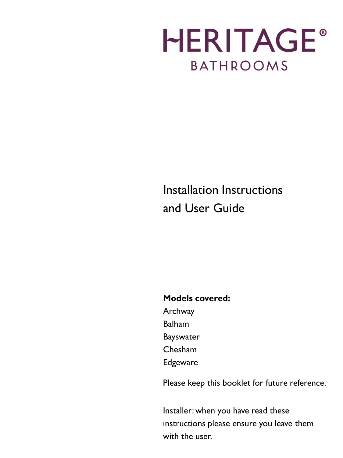## **HERITAGE® BATHROOMS**

### Installation Instructions and User Guide

#### **Models covered:**

- Archway
- Balham
- Bayswater
- Chesham
- Edgeware

Please keep this booklet for future reference.

Installer: when you have read these instructions please ensure you leave them with the user.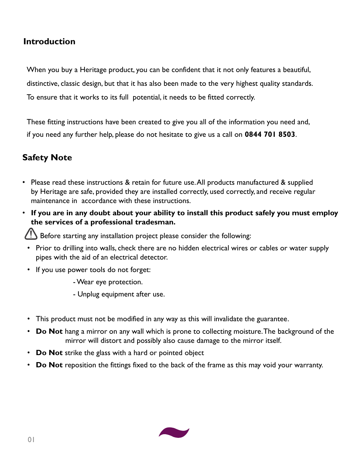#### **Introduction**

When you buy a Heritage product, you can be confident that it not only features a beautiful, distinctive, classic design, but that it has also been made to the very highest quality standards. To ensure that it works to its full potential, it needs to be fitted correctly.

These fitting instructions have been created to give you all of the information you need and, if you need any further help, please do not hesitate to give us a call on **0844 701 8503**.

#### **Safety Note**

- Please read these instructions & retain for future use. All products manufactured & supplied by Heritage are safe, provided they are installed correctly, used correctly, and receive regular maintenance in accordance with these instructions.
- **If you are in any doubt about your ability to install this product safely you must employ the services of a professional tradesman.**

 $\sum$  Before starting any installation project please consider the following:

- Prior to drilling into walls, check there are no hidden electrical wires or cables or water supply pipes with the aid of an electrical detector.
- If you use power tools do not forget:

-Wear eye protection.

- Unplug equipment after use.
- This product must not be modified in any way as this will invalidate the guarantee.
- **Do Not** hang a mirror on any wall which is prone to collecting moisture. The background of the mirror will distort and possibly also cause damage to the mirror itself.
- **Do Not** strike the glass with a hard or pointed object
- **Do Not** reposition the fittings fixed to the back of the frame as this may void your warranty.

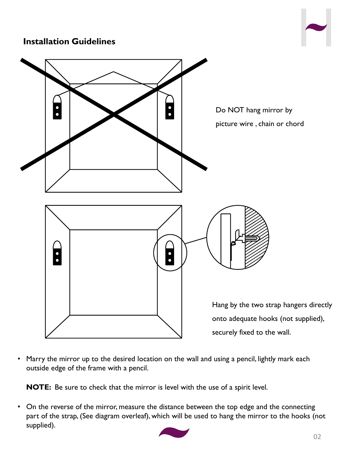#### **Installation Guidelines**





Marry the mirror up to the desired location on the wall and using a pencil, lightly mark each outside edge of the frame with a pencil.

**NOTE:** Be sure to check that the mirror is level with the use of a spirit level.

• On the reverse of the mirror, measure the distance between the top edge and the connecting part of the strap, (See diagram overleaf), which will be used to hang the mirror to the hooks (not supplied).

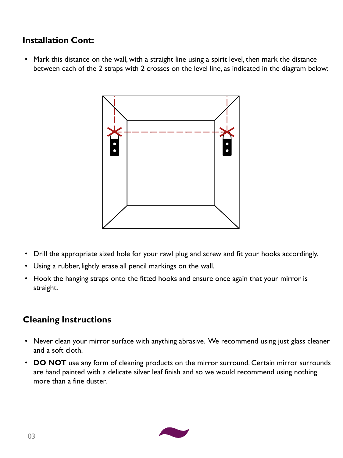#### **Installation Cont:**

• Mark this distance on the wall, with a straight line using a spirit level, then mark the distance between each of the 2 straps with 2 crosses on the level line, as indicated in the diagram below:



- Drill the appropriate sized hole for your rawl plug and screw and fit your hooks accordingly.
- Using a rubber, lightly erase all pencil markings on the wall.
- Hook the hanging straps onto the fitted hooks and ensure once again that your mirror is straight.

#### **Cleaning Instructions**

- Never clean your mirror surface with anything abrasive. We recommend using just glass cleaner and a soft cloth.
- **DO NOT** use any form of cleaning products on the mirror surround. Certain mirror surrounds are hand painted with a delicate silver leaf finish and so we would recommend using nothing more than a fine duster.

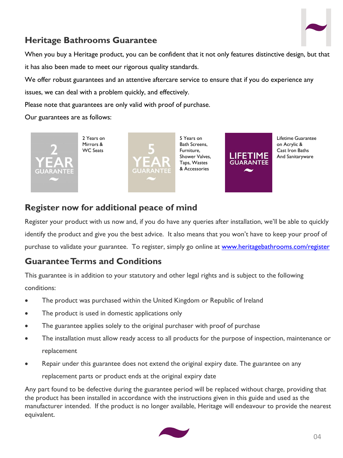

#### **Heritage Bathrooms Guarantee**

When you buy a Heritage product, you can be confident that it not only features distinctive design, but that it has also been made to meet our rigorous quality standards.

We offer robust guarantees and an attentive aftercare service to ensure that if you do experience any

issues, we can deal with a problem quickly, and effectively.

Please note that guarantees are only valid with proof of purchase.

Our guarantees are as follows:



**Register now for additional peace of mind**

Register your product with us now and, if you do have any queries after installation, we'll be able to quickly identify the product and give you the best advice. It also means that you won't have to keep your proof of purchase to validate your guarantee. To register, simply go online at [www.heritagebathrooms.com/register](http://www.heritagebathrooms.com/register)

#### **Guarantee Terms and Conditions**

This guarantee is in addition to your statutory and other legal rights and is subject to the following conditions:

- The product was purchased within the United Kingdom or Republic of Ireland
- The product is used in domestic applications only
- The guarantee applies solely to the original purchaser with proof of purchase
- The installation must allow ready access to all products for the purpose of inspection, maintenance or replacement
- Repair under this guarantee does not extend the original expiry date. The guarantee on any replacement parts or product ends at the original expiry date

Any part found to be defective during the guarantee period will be replaced without charge, providing that the product has been installed in accordance with the instructions given in this guide and used as the manufacturer intended. If the product is no longer available, Heritage will endeavour to provide the nearest equivalent.

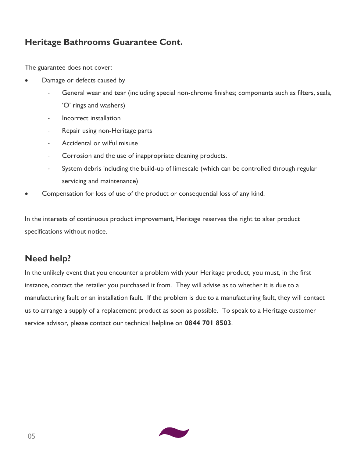#### **Heritage Bathrooms Guarantee Cont.**

The guarantee does not cover:

- Damage or defects caused by
	- General wear and tear (including special non-chrome finishes; components such as filters, seals, 'O' rings and washers)
	- Incorrect installation
	- Repair using non-Heritage parts
	- Accidental or wilful misuse
	- Corrosion and the use of inappropriate cleaning products.
	- System debris including the build-up of limescale (which can be controlled through regular servicing and maintenance)
- Compensation for loss of use of the product or consequential loss of any kind.

In the interests of continuous product improvement, Heritage reserves the right to alter product specifications without notice.

#### **Need help?**

In the unlikely event that you encounter a problem with your Heritage product, you must, in the first instance, contact the retailer you purchased it from. They will advise as to whether it is due to a manufacturing fault or an installation fault. If the problem is due to a manufacturing fault, they will contact us to arrange a supply of a replacement product as soon as possible. To speak to a Heritage customer service advisor, please contact our technical helpline on **0844 701 8503**.

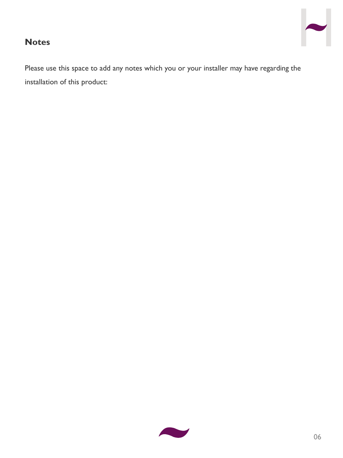# $\overline{\phantom{a}}$

#### **Notes**

Please use this space to add any notes which you or your installer may have regarding the installation of this product: